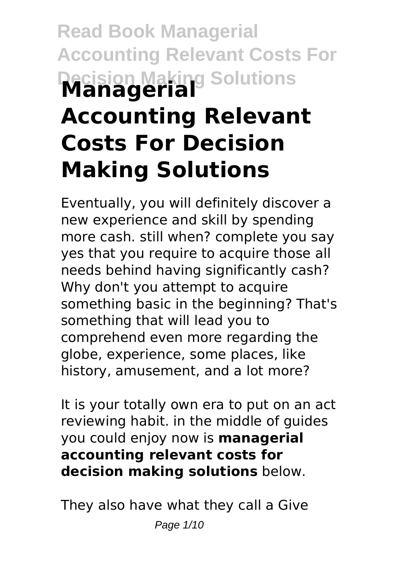# **Read Book Managerial Accounting Relevant Costs For Decision Making Solutions Managerial Accounting Relevant Costs For Decision Making Solutions**

Eventually, you will definitely discover a new experience and skill by spending more cash. still when? complete you say yes that you require to acquire those all needs behind having significantly cash? Why don't you attempt to acquire something basic in the beginning? That's something that will lead you to comprehend even more regarding the globe, experience, some places, like history, amusement, and a lot more?

It is your totally own era to put on an act reviewing habit. in the middle of guides you could enjoy now is **managerial accounting relevant costs for decision making solutions** below.

They also have what they call a Give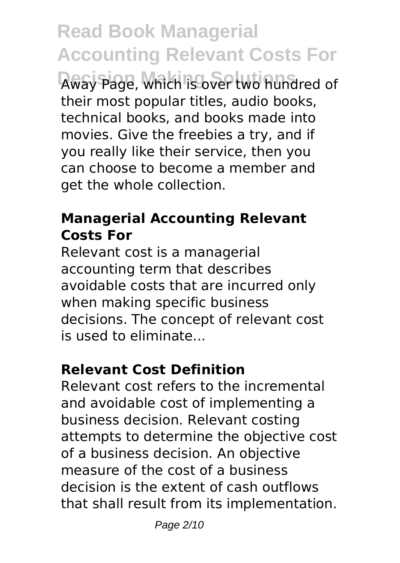**Read Book Managerial Accounting Relevant Costs For Decision Making Solutions** Away Page, which is over two hundred of their most popular titles, audio books, technical books, and books made into movies. Give the freebies a try, and if you really like their service, then you can choose to become a member and get the whole collection.

# **Managerial Accounting Relevant Costs For**

Relevant cost is a managerial accounting term that describes avoidable costs that are incurred only when making specific business decisions. The concept of relevant cost is used to eliminate...

# **Relevant Cost Definition**

Relevant cost refers to the incremental and avoidable cost of implementing a business decision. Relevant costing attempts to determine the objective cost of a business decision. An objective measure of the cost of a business decision is the extent of cash outflows that shall result from its implementation.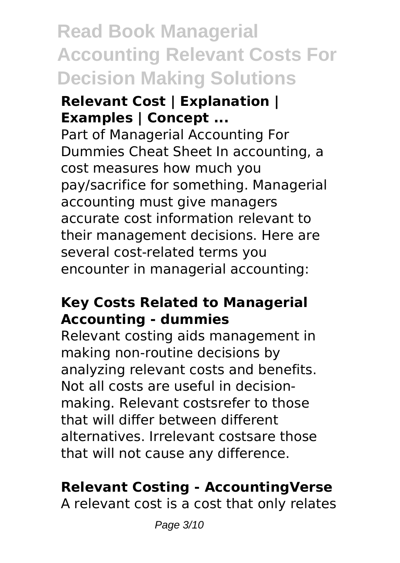# **Read Book Managerial Accounting Relevant Costs For Decision Making Solutions**

#### **Relevant Cost | Explanation | Examples | Concept ...**

Part of Managerial Accounting For Dummies Cheat Sheet In accounting, a cost measures how much you pay/sacrifice for something. Managerial accounting must give managers accurate cost information relevant to their management decisions. Here are several cost-related terms you encounter in managerial accounting:

#### **Key Costs Related to Managerial Accounting - dummies**

Relevant costing aids management in making non-routine decisions by analyzing relevant costs and benefits. Not all costs are useful in decisionmaking. Relevant costsrefer to those that will differ between different alternatives. Irrelevant costsare those that will not cause any difference.

# **Relevant Costing - AccountingVerse**

A relevant cost is a cost that only relates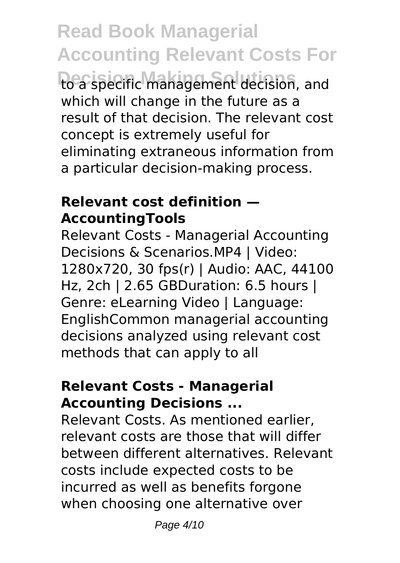**Read Book Managerial Accounting Relevant Costs For Decision Making Solutions** to a specific management decision, and which will change in the future as a result of that decision. The relevant cost concept is extremely useful for eliminating extraneous information from a particular decision-making process.

#### **Relevant cost definition — AccountingTools**

Relevant Costs - Managerial Accounting Decisions & Scenarios.MP4 | Video: 1280x720, 30 fps(r) | Audio: AAC, 44100 Hz, 2ch | 2.65 GBDuration: 6.5 hours | Genre: eLearning Video | Language: EnglishCommon managerial accounting decisions analyzed using relevant cost methods that can apply to all

#### **Relevant Costs - Managerial Accounting Decisions ...**

Relevant Costs. As mentioned earlier, relevant costs are those that will differ between different alternatives. Relevant costs include expected costs to be incurred as well as benefits forgone when choosing one alternative over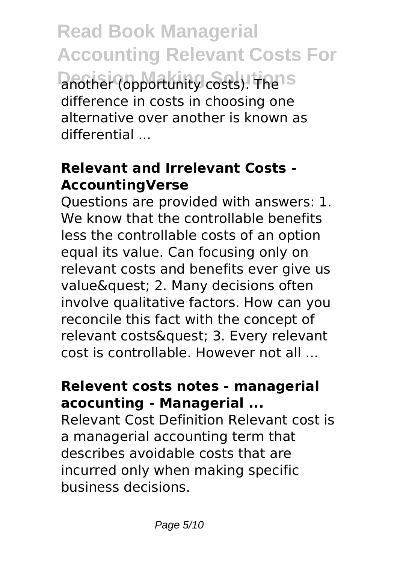**Read Book Managerial Accounting Relevant Costs For Decision Copportunity costs).** The IS difference in costs in choosing one alternative over another is known as differential ...

# **Relevant and Irrelevant Costs - AccountingVerse**

Questions are provided with answers: 1. We know that the controllable benefits less the controllable costs of an option equal its value. Can focusing only on relevant costs and benefits ever give us value& quest; 2. Many decisions often involve qualitative factors. How can you reconcile this fact with the concept of relevant costs& quest; 3. Every relevant cost is controllable. However not all ...

#### **Relevent costs notes - managerial acocunting - Managerial ...**

Relevant Cost Definition Relevant cost is a managerial accounting term that describes avoidable costs that are incurred only when making specific business decisions.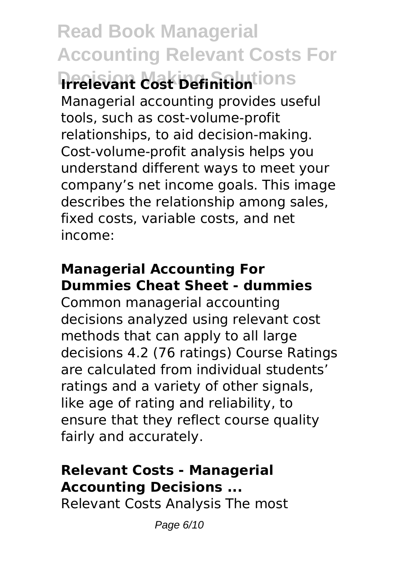**Read Book Managerial Accounting Relevant Costs For Decision Making Solutions Irrelevant Cost Definition** Managerial accounting provides useful tools, such as cost-volume-profit relationships, to aid decision-making. Cost-volume-profit analysis helps you understand different ways to meet your company's net income goals. This image describes the relationship among sales, fixed costs, variable costs, and net income:

# **Managerial Accounting For Dummies Cheat Sheet - dummies**

Common managerial accounting decisions analyzed using relevant cost methods that can apply to all large decisions 4.2 (76 ratings) Course Ratings are calculated from individual students' ratings and a variety of other signals, like age of rating and reliability, to ensure that they reflect course quality fairly and accurately.

# **Relevant Costs - Managerial Accounting Decisions ...**

Relevant Costs Analysis The most

Page 6/10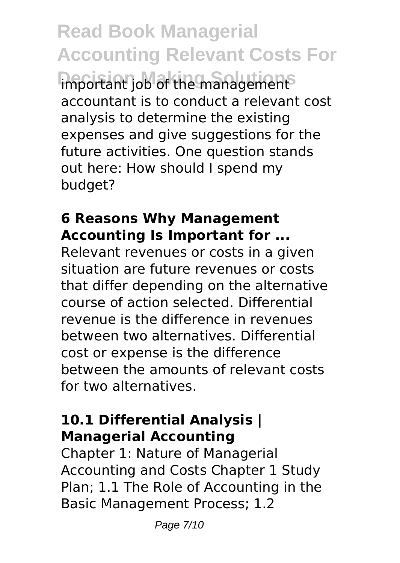**Read Book Managerial Accounting Relevant Costs For Important job of the management** accountant is to conduct a relevant cost analysis to determine the existing expenses and give suggestions for the future activities. One question stands out here: How should I spend my budget?

#### **6 Reasons Why Management Accounting Is Important for ...**

Relevant revenues or costs in a given situation are future revenues or costs that differ depending on the alternative course of action selected. Differential revenue is the difference in revenues between two alternatives. Differential cost or expense is the difference between the amounts of relevant costs for two alternatives.

# **10.1 Differential Analysis | Managerial Accounting**

Chapter 1: Nature of Managerial Accounting and Costs Chapter 1 Study Plan; 1.1 The Role of Accounting in the Basic Management Process; 1.2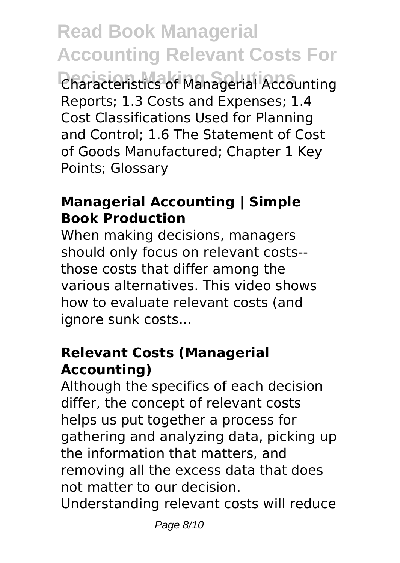**Read Book Managerial Accounting Relevant Costs For Decision Making Solutions** Characteristics of Managerial Accounting Reports; 1.3 Costs and Expenses; 1.4 Cost Classifications Used for Planning and Control; 1.6 The Statement of Cost of Goods Manufactured; Chapter 1 Key Points; Glossary

## **Managerial Accounting | Simple Book Production**

When making decisions, managers should only focus on relevant costs- those costs that differ among the various alternatives. This video shows how to evaluate relevant costs (and ignore sunk costs...

#### **Relevant Costs (Managerial Accounting)**

Although the specifics of each decision differ, the concept of relevant costs helps us put together a process for gathering and analyzing data, picking up the information that matters, and removing all the excess data that does not matter to our decision. Understanding relevant costs will reduce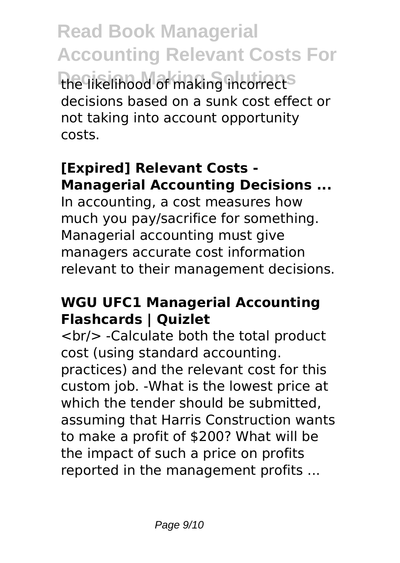**Read Book Managerial Accounting Relevant Costs For** the likelihood of making incorrect<sup>s</sup> decisions based on a sunk cost effect or not taking into account opportunity costs.

# **[Expired] Relevant Costs - Managerial Accounting Decisions ...**

In accounting, a cost measures how much you pay/sacrifice for something. Managerial accounting must give managers accurate cost information relevant to their management decisions.

#### **WGU UFC1 Managerial Accounting Flashcards | Quizlet**

<br/> -Calculate both the total product cost (using standard accounting. practices) and the relevant cost for this custom job. -What is the lowest price at which the tender should be submitted, assuming that Harris Construction wants to make a profit of \$200? What will be the impact of such a price on profits reported in the management profits ...